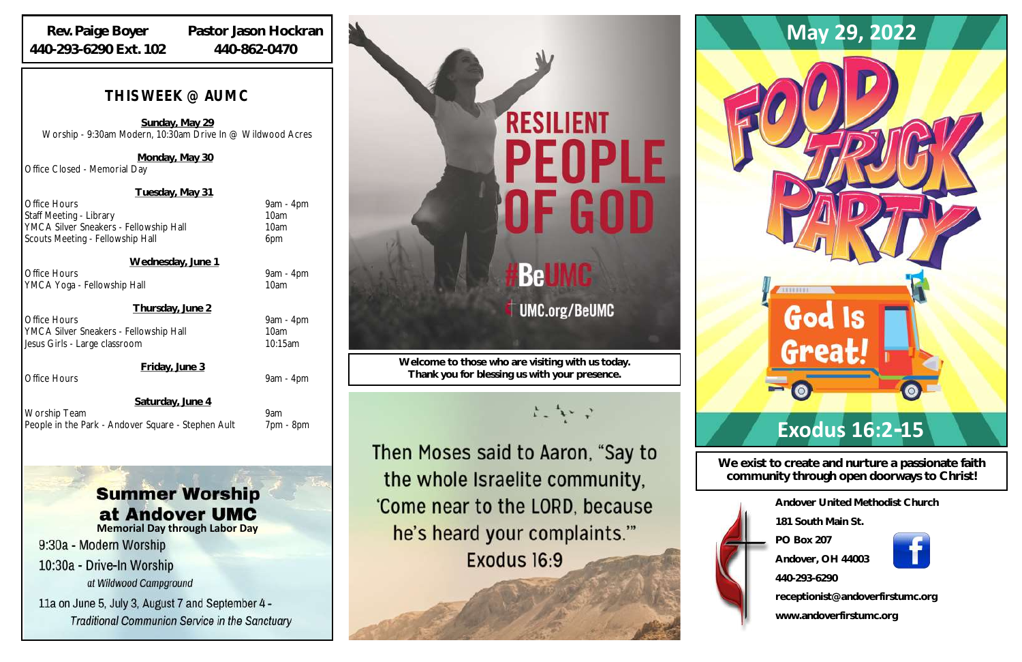| Andover United Methodist Church  |
|----------------------------------|
| 181 South Main St                |
| <b>PO Box 207</b>                |
| Andover, OH 44003                |
| 440-293-6290                     |
| receptionist@andoverfirstumc.org |
| www.andoverfirstumc.org          |

**We exist to create and nurture a passionate faith community through open doorways to Christ!**

**Welcome to those who are visiting with us today. Thank you for blessing us with your presence.**

Then Moses said to Aaron, "Say to the whole Israelite community, 'Come near to the LORD, because he's heard your complaints." Exodus 16:9



 **Wednesday, June 1** Office Hours 9am - 4pm YMCA Yoga - Fellowship Hall 10am

### *THIS WEEK @ AUMC*

**Sunday, May 29** Worship - 9:30am Modern, 10:30am Drive In @ Wildwood Acres

Office Hours 9am - 4pm YMCA Silver Sneakers - Fellowship Hall 10am Jesus Girls - Large classroom 10:15am

Office Hours 9am - 4pm

 **Saturday, June 4** Worship Team 9am People in the Park - Andover Square - Stephen Ault 7pm - 8pm

## **Summer Worship** at Andover UMC

**Monday, May 30**

Office Closed - Memorial Day

**Tuesday, May 31**

Office Hours 9am - 4pm Staff Meeting - Library 10am **YMCA Silver Sneakers - Fellowship Hall** 10am Scouts Meeting - Fellowship Hall 6pm

**Thursday, June 2**

**Friday, June 3**

#### **Rev. Paige Boyer 440-293-6290 Ext. 102**

**Pastor Jason Hockran 440-862-0470**

**Memorial Day through Labor Day**

9:30a - Modern Worship

10:30a - Drive-In Worship at Wildwood Campground

11a on June 5, July 3, August 7 and September 4 -**Traditional Communion Service in the Sanctuary** 

# **RESILIENT** PEOPLE

**UMC.org/BeUMC** 

ちょう

**Be** 



## **Exodus 16:2-15**